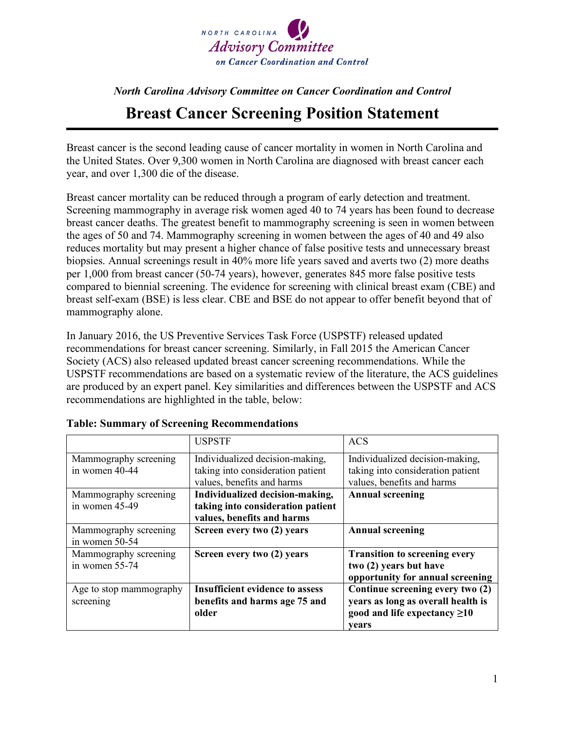

## *North Carolina Advisory Committee on Cancer Coordination and Control* **Breast Cancer Screening Position Statement**

Breast cancer is the second leading cause of cancer mortality in women in North Carolina and the United States. Over 9,300 women in North Carolina are diagnosed with breast cancer each year, and over 1,300 die of the disease.

Breast cancer mortality can be reduced through a program of early detection and treatment. Screening mammography in average risk women aged 40 to 74 years has been found to decrease breast cancer deaths. The greatest benefit to mammography screening is seen in women between the ages of 50 and 74. Mammography screening in women between the ages of 40 and 49 also reduces mortality but may present a higher chance of false positive tests and unnecessary breast biopsies. Annual screenings result in 40% more life years saved and averts two (2) more deaths per 1,000 from breast cancer (50-74 years), however, generates 845 more false positive tests compared to biennial screening. The evidence for screening with clinical breast exam (CBE) and breast self-exam (BSE) is less clear. CBE and BSE do not appear to offer benefit beyond that of mammography alone.

In January 2016, the US Preventive Services Task Force (USPSTF) released updated recommendations for breast cancer screening. Similarly, in Fall 2015 the American Cancer Society (ACS) also released updated breast cancer screening recommendations. While the USPSTF recommendations are based on a systematic review of the literature, the ACS guidelines are produced by an expert panel. Key similarities and differences between the USPSTF and ACS recommendations are highlighted in the table, below:

|                         | <b>USPSTF</b>                          | ACS                                  |
|-------------------------|----------------------------------------|--------------------------------------|
| Mammography screening   | Individualized decision-making,        | Individualized decision-making,      |
| in women 40-44          | taking into consideration patient      | taking into consideration patient    |
|                         | values, benefits and harms             | values, benefits and harms           |
| Mammography screening   | Individualized decision-making,        | <b>Annual screening</b>              |
| in women 45-49          | taking into consideration patient      |                                      |
|                         | values, benefits and harms             |                                      |
| Mammography screening   | Screen every two (2) years             | <b>Annual screening</b>              |
| in women 50-54          |                                        |                                      |
| Mammography screening   | Screen every two (2) years             | <b>Transition to screening every</b> |
| in women 55-74          |                                        | two (2) years but have               |
|                         |                                        | opportunity for annual screening     |
| Age to stop mammography | <b>Insufficient evidence to assess</b> | Continue screening every two (2)     |
| screening               | benefits and harms age 75 and          | years as long as overall health is   |
|                         | older                                  | good and life expectancy $\geq 10$   |
|                         |                                        | vears                                |

## **Table: Summary of Screening Recommendations**